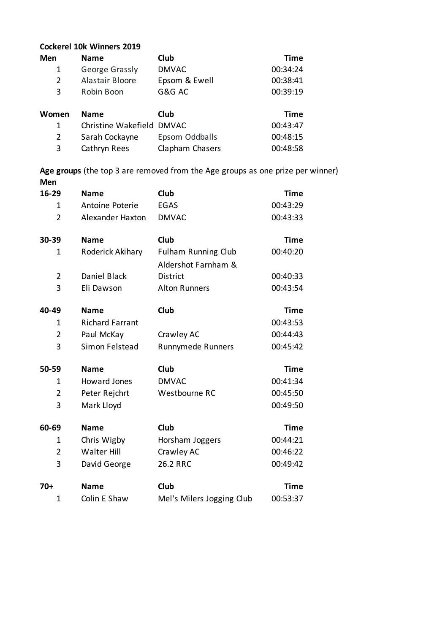## **Cockerel 10k Winners 2019**

| <b>Men</b> | <b>Name</b>               | Club           | Time        |
|------------|---------------------------|----------------|-------------|
| 1          | George Grassly            | <b>DMVAC</b>   | 00:34:24    |
| 2          | Alastair Bloore           | Epsom & Ewell  | 00:38:41    |
| 3          | Robin Boon                | G&G AC         | 00:39:19    |
|            |                           |                |             |
|            |                           |                |             |
| Women      | <b>Name</b>               | Club           | <b>Time</b> |
| 1          | Christine Wakefield DMVAC |                | 00:43:47    |
| 2          | Sarah Cockayne            | Epsom Oddballs | 00:48:15    |

**Age groups** (the top 3 are removed from the Age groups as one prize per winner) **Men**

| 16-29          | <b>Name</b>             | Club                       | <b>Time</b> |
|----------------|-------------------------|----------------------------|-------------|
| $\mathbf{1}$   | Antoine Poterie         | <b>EGAS</b>                | 00:43:29    |
| $\overline{2}$ | <b>Alexander Haxton</b> | <b>DMVAC</b>               | 00:43:33    |
| 30-39          | <b>Name</b>             | Club                       | <b>Time</b> |
| 1              | Roderick Akihary        | <b>Fulham Running Club</b> | 00:40:20    |
|                |                         | Aldershot Farnham &        |             |
| $\overline{2}$ | <b>Daniel Black</b>     | <b>District</b>            | 00:40:33    |
| 3              | Eli Dawson              | <b>Alton Runners</b>       | 00:43:54    |
| 40-49          | <b>Name</b>             | Club                       | <b>Time</b> |
| 1              | <b>Richard Farrant</b>  |                            | 00:43:53    |
| $\overline{2}$ | Paul McKay              | Crawley AC                 | 00:44:43    |
| 3              | Simon Felstead          | Runnymede Runners          | 00:45:42    |
| 50-59          | <b>Name</b>             | Club                       | <b>Time</b> |
| 1              | <b>Howard Jones</b>     | <b>DMVAC</b>               | 00:41:34    |
| $\overline{2}$ | Peter Rejchrt           | Westbourne RC              | 00:45:50    |
| 3              | Mark Lloyd              |                            | 00:49:50    |
| 60-69          | <b>Name</b>             | Club                       | <b>Time</b> |
| 1              | Chris Wigby             | Horsham Joggers            | 00:44:21    |
| $\overline{2}$ | <b>Walter Hill</b>      | Crawley AC                 | 00:46:22    |
| 3              | David George            | 26.2 RRC                   | 00:49:42    |
| $70+$          | <b>Name</b>             | Club                       | <b>Time</b> |
| $\mathbf{1}$   | Colin E Shaw            | Mel's Milers Jogging Club  | 00:53:37    |